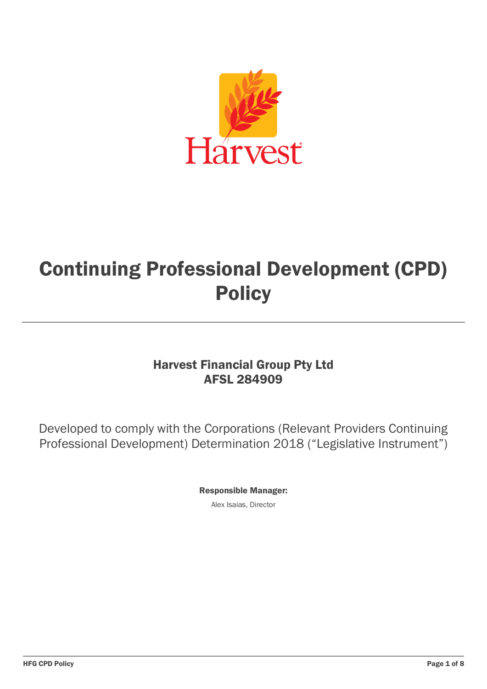

# Continuing Professional Development (CPD) **Policy**

## Harvest Financial Group Pty Ltd AFSL 284909

Developed to comply with the Corporations (Relevant Providers Continuing Professional Development) Determination 2018 ("Legislative Instrument")

Responsible Manager:

Alex Isaias, Director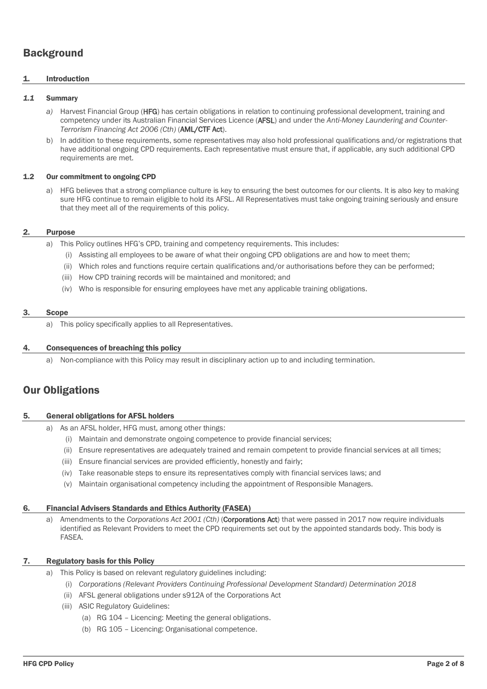## **Background**

#### 1. Introduction

#### *1.1* Summary

- *a)* Harvest Financial Group (HFG) has certain obligations in relation to continuing professional development, training and competency under its Australian Financial Services Licence (AFSL) and under the *Anti-Money Laundering and Counter-Terrorism Financing Act 2006 (Cth)* (AML/CTF Act).
- b) In addition to these requirements, some representatives may also hold professional qualifications and/or registrations that have additional ongoing CPD requirements. Each representative must ensure that, if applicable, any such additional CPD requirements are met.

#### 1.2 Our commitment to ongoing CPD

a) HFG believes that a strong compliance culture is key to ensuring the best outcomes for our clients. It is also key to making sure HFG continue to remain eligible to hold its AFSL. All Representatives must take ongoing training seriously and ensure that they meet all of the requirements of this policy.

#### 2. Purpose

- a) This Policy outlines HFG's CPD, training and competency requirements. This includes:
	- (i) Assisting all employees to be aware of what their ongoing CPD obligations are and how to meet them;
	- (ii) Which roles and functions require certain qualifications and/or authorisations before they can be performed;
	- (iii) How CPD training records will be maintained and monitored; and
	- (iv) Who is responsible for ensuring employees have met any applicable training obligations.

#### 3. Scope

a) This policy specifically applies to all Representatives.

#### 4. Consequences of breaching this policy

a) Non-compliance with this Policy may result in disciplinary action up to and including termination.

## Our Obligations

#### 5. General obligations for AFSL holders

- a) As an AFSL holder, HFG must, among other things:
	- (i) Maintain and demonstrate ongoing competence to provide financial services;
	- (ii) Ensure representatives are adequately trained and remain competent to provide financial services at all times;
	- (iii) Ensure financial services are provided efficiently, honestly and fairly;
	- (iv) Take reasonable steps to ensure its representatives comply with financial services laws; and
	- (v) Maintain organisational competency including the appointment of Responsible Managers.

#### 6. Financial Advisers Standards and Ethics Authority (FASEA)

a) Amendments to the *Corporations Act 2001 (Cth)* (**Corporations Act**) that were passed in 2017 now require individuals identified as Relevant Providers to meet the CPD requirements set out by the appointed standards body. This body is FASEA.

#### 7. Regulatory basis for this Policy

- a) This Policy is based on relevant regulatory guidelines including:
	- (i) *Corporations (Relevant Providers Continuing Professional Development Standard) Determination 2018*
	- (ii) AFSL general obligations under s912A of the Corporations Act
	- (iii) ASIC Regulatory Guidelines:
		- (a) RG 104 Licencing: Meeting the general obligations.
		- (b) RG 105 Licencing: Organisational competence.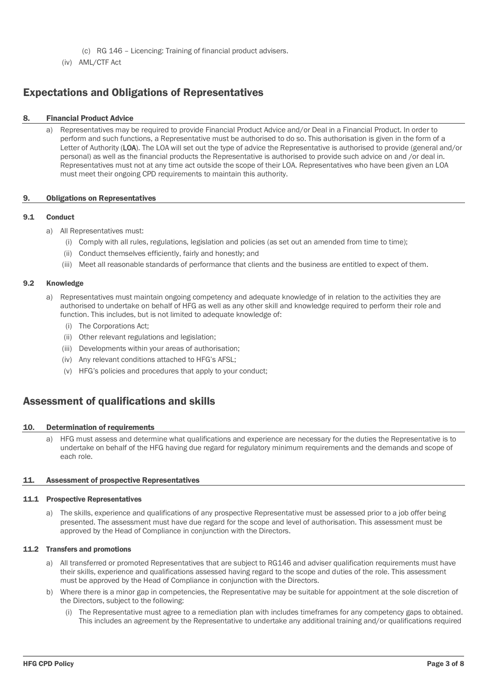- (c) RG 146 Licencing: Training of financial product advisers.
- (iv) AML/CTF Act

## Expectations and Obligations of Representatives

#### 8. Financial Product Advice

a) Representatives may be required to provide Financial Product Advice and/or Deal in a Financial Product. In order to perform and such functions, a Representative must be authorised to do so. This authorisation is given in the form of a Letter of Authority (LOA). The LOA will set out the type of advice the Representative is authorised to provide (general and/or personal) as well as the financial products the Representative is authorised to provide such advice on and /or deal in. Representatives must not at any time act outside the scope of their LOA. Representatives who have been given an LOA must meet their ongoing CPD requirements to maintain this authority.

#### 9. Obligations on Representatives

#### 9.1 Conduct

- a) All Representatives must:
	- (i) Comply with all rules, regulations, legislation and policies (as set out an amended from time to time);
	- (ii) Conduct themselves efficiently, fairly and honestly; and
	- (iii) Meet all reasonable standards of performance that clients and the business are entitled to expect of them.

#### 9.2 Knowledge

- a) Representatives must maintain ongoing competency and adequate knowledge of in relation to the activities they are authorised to undertake on behalf of HFG as well as any other skill and knowledge required to perform their role and function. This includes, but is not limited to adequate knowledge of:
	- (i) The Corporations Act;
	- (ii) Other relevant regulations and legislation;
	- (iii) Developments within your areas of authorisation;
	- (iv) Any relevant conditions attached to HFG's AFSL;
	- (v) HFG's policies and procedures that apply to your conduct;

## Assessment of qualifications and skills

#### 10. Determination of requirements

a) HFG must assess and determine what qualifications and experience are necessary for the duties the Representative is to undertake on behalf of the HFG having due regard for regulatory minimum requirements and the demands and scope of each role.

#### 11. Assessment of prospective Representatives

#### 11.1 Prospective Representatives

a) The skills, experience and qualifications of any prospective Representative must be assessed prior to a job offer being presented. The assessment must have due regard for the scope and level of authorisation. This assessment must be approved by the Head of Compliance in conjunction with the Directors.

#### 11.2 Transfers and promotions

- a) All transferred or promoted Representatives that are subject to RG146 and adviser qualification requirements must have their skills, experience and qualifications assessed having regard to the scope and duties of the role. This assessment must be approved by the Head of Compliance in conjunction with the Directors.
- b) Where there is a minor gap in competencies, the Representative may be suitable for appointment at the sole discretion of the Directors, subject to the following:
	- (i) The Representative must agree to a remediation plan with includes timeframes for any competency gaps to obtained. This includes an agreement by the Representative to undertake any additional training and/or qualifications required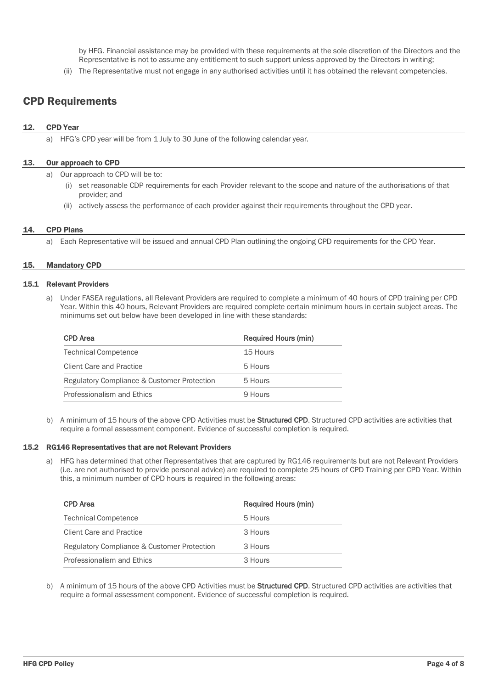by HFG. Financial assistance may be provided with these requirements at the sole discretion of the Directors and the Representative is not to assume any entitlement to such support unless approved by the Directors in writing;

(ii) The Representative must not engage in any authorised activities until it has obtained the relevant competencies.

## CPD Requirements

#### 12. CPD Year

a) HFG's CPD year will be from 1 July to 30 June of the following calendar year.

#### 13. Our approach to CPD

a) Our approach to CPD will be to:

- (i) set reasonable CDP requirements for each Provider relevant to the scope and nature of the authorisations of that provider; and
- (ii) actively assess the performance of each provider against their requirements throughout the CPD year.

#### 14. CPD Plans

a) Each Representative will be issued and annual CPD Plan outlining the ongoing CPD requirements for the CPD Year.

#### 15. Mandatory CPD

#### 15.1 Relevant Providers

a) Under FASEA regulations, all Relevant Providers are required to complete a minimum of 40 hours of CPD training per CPD Year. Within this 40 hours, Relevant Providers are required complete certain minimum hours in certain subject areas. The minimums set out below have been developed in line with these standards:

| CPD Area                                    | Required Hours (min) |
|---------------------------------------------|----------------------|
| <b>Technical Competence</b>                 | 15 Hours             |
| <b>Client Care and Practice</b>             | 5 Hours              |
| Regulatory Compliance & Customer Protection | 5 Hours              |
| Professionalism and Ethics                  | 9 Hours              |

b) A minimum of 15 hours of the above CPD Activities must be **Structured CPD**. Structured CPD activities are activities that require a formal assessment component. Evidence of successful completion is required.

#### 15.2 RG146 Representatives that are not Relevant Providers

a) HFG has determined that other Representatives that are captured by RG146 requirements but are not Relevant Providers (i.e. are not authorised to provide personal advice) are required to complete 25 hours of CPD Training per CPD Year. Within this, a minimum number of CPD hours is required in the following areas:

| <b>CPD</b> Area                             | <b>Required Hours (min)</b> |
|---------------------------------------------|-----------------------------|
| <b>Technical Competence</b>                 | 5 Hours                     |
| Client Care and Practice                    | 3 Hours                     |
| Regulatory Compliance & Customer Protection | 3 Hours                     |
| Professionalism and Ethics                  | 3 Hours                     |

b) A minimum of 15 hours of the above CPD Activities must be **Structured CPD**. Structured CPD activities are activities that require a formal assessment component. Evidence of successful completion is required.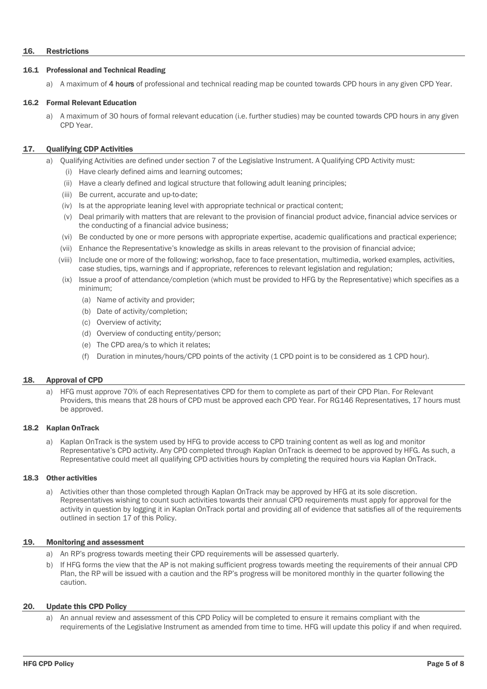#### 16. Restrictions

#### 16.1 Professional and Technical Reading

a) A maximum of 4 hours of professional and technical reading map be counted towards CPD hours in any given CPD Year.

#### 16.2 Formal Relevant Education

a) A maximum of 30 hours of formal relevant education (i.e. further studies) may be counted towards CPD hours in any given CPD Year.

#### <span id="page-4-0"></span>17. Qualifying CDP Activities

- a) Qualifying Activities are defined under section 7 of the Legislative Instrument. A Qualifying CPD Activity must:
	- (i) Have clearly defined aims and learning outcomes;
	- (ii) Have a clearly defined and logical structure that following adult leaning principles;
	- (iii) Be current, accurate and up-to-date;
	- (iv) Is at the appropriate leaning level with appropriate technical or practical content;
	- (v) Deal primarily with matters that are relevant to the provision of financial product advice, financial advice services or the conducting of a financial advice business;
	- (vi) Be conducted by one or more persons with appropriate expertise, academic qualifications and practical experience;
	- (vii) Enhance the Representative's knowledge as skills in areas relevant to the provision of financial advice;
	- (viii) Include one or more of the following: workshop, face to face presentation, multimedia, worked examples, activities, case studies, tips, warnings and if appropriate, references to relevant legislation and regulation;
	- (ix) Issue a proof of attendance/completion (which must be provided to HFG by the Representative) which specifies as a minimum;
		- (a) Name of activity and provider;
		- (b) Date of activity/completion;
		- (c) Overview of activity;
		- (d) Overview of conducting entity/person;
		- (e) The CPD area/s to which it relates;
		- (f) Duration in minutes/hours/CPD points of the activity (1 CPD point is to be considered as 1 CPD hour).

#### 18. Approval of CPD

a) HFG must approve 70% of each Representatives CPD for them to complete as part of their CPD Plan. For Relevant Providers, this means that 28 hours of CPD must be approved each CPD Year. For RG146 Representatives, 17 hours must be approved.

#### 18.2 Kaplan OnTrack

a) Kaplan OnTrack is the system used by HFG to provide access to CPD training content as well as log and monitor Representative's CPD activity. Any CPD completed through Kaplan OnTrack is deemed to be approved by HFG. As such, a Representative could meet all qualifying CPD activities hours by completing the required hours via Kaplan OnTrack.

#### 18.3 Other activities

a) Activities other than those completed through Kaplan OnTrack may be approved by HFG at its sole discretion. Representatives wishing to count such activities towards their annual CPD requirements must apply for approval for the activity in question by logging it in Kaplan OnTrack portal and providing all of evidence that satisfies all of the requirements outlined in section [17](#page-4-0) of this Policy.

#### 19. Monitoring and assessment

- a) An RP's progress towards meeting their CPD requirements will be assessed quarterly.
- b) If HFG forms the view that the AP is not making sufficient progress towards meeting the requirements of their annual CPD Plan, the RP will be issued with a caution and the RP's progress will be monitored monthly in the quarter following the caution.

#### 20. Update this CPD Policy

An annual review and assessment of this CPD Policy will be completed to ensure it remains compliant with the requirements of the Legislative Instrument as amended from time to time. HFG will update this policy if and when required.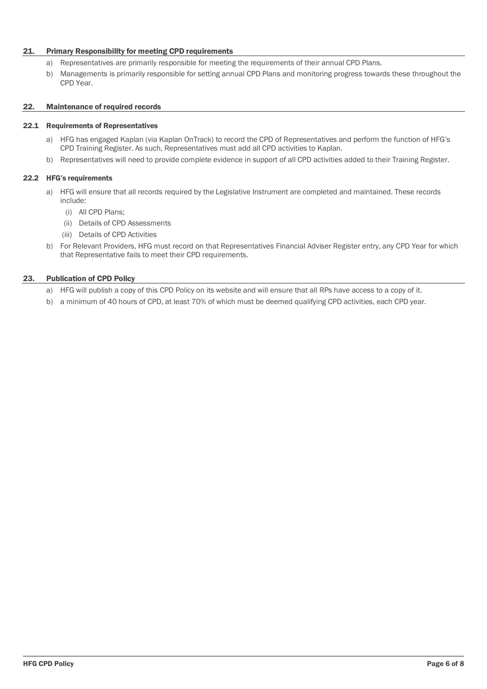#### 21. Primary Responsibility for meeting CPD requirements

- a) Representatives are primarily responsible for meeting the requirements of their annual CPD Plans.
- b) Managements is primarily responsible for setting annual CPD Plans and monitoring progress towards these throughout the CPD Year.

#### 22. Maintenance of required records

#### 22.1 Requirements of Representatives

- a) HFG has engaged Kaplan (via Kaplan OnTrack) to record the CPD of Representatives and perform the function of HFG's CPD Training Register. As such, Representatives must add all CPD activities to Kaplan.
- b) Representatives will need to provide complete evidence in support of all CPD activities added to their Training Register.

#### 22.2 HFG's requirements

- a) HFG will ensure that all records required by the Legislative Instrument are completed and maintained. These records include:
	- (i) All CPD Plans;
	- (ii) Details of CPD Assessments
	- (iii) Details of CPD Activities
- b) For Relevant Providers, HFG must record on that Representatives Financial Adviser Register entry, any CPD Year for which that Representative fails to meet their CPD requirements.

#### 23. Publication of CPD Policy

- a) HFG will publish a copy of this CPD Policy on its website and will ensure that all RPs have access to a copy of it.
- b) a minimum of 40 hours of CPD, at least 70% of which must be deemed qualifying CPD activities, each CPD year.